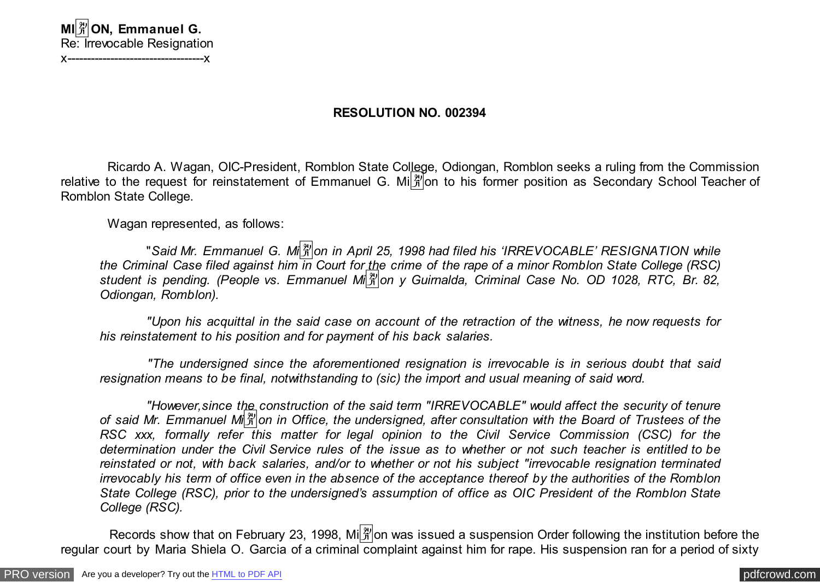## **RESOLUTION NO. 002394**

 Ricardo A. Wagan, OIC-President, Romblon State College, Odiongan, Romblon seeks a ruling from the Commission relative to the request for reinstatement of Emmanuel G. Mi $\frac{18}{10}$  to his former position as Secondary School Teacher of Romblon State College.

Wagan represented, as follows:

 "*Said Mr. Emmanuel G. Mi*�*on in April 25, 1998 had filed his 'IRREVOCABLE' RESIGNATION while the Criminal Case filed against him in Court for the crime of the rape of a minor Romblon State College (RSC) student is pending. (People vs. Emmanuel Mi*�*on y Guirnalda, Criminal Case No. OD 1028, RTC, Br. 82, Odiongan, Romblon).*

 *"Upon his acquittal in the said case on account of the retraction of the witness, he now requests for his reinstatement to his position and for payment of his back salaries.*

 *"The undersigned since the aforementioned resignation is irrevocable is in serious doubt that said resignation means to be final, notwithstanding to (sic) the import and usual meaning of said word.*

 *"However,since the construction of the said term "IRREVOCABLE" would affect the security of tenure of said Mr. Emmanuel Mi*�*on in Office, the undersigned, after consultation with the Board of Trustees of the RSC xxx, formally refer this matter for legal opinion to the Civil Service Commission (CSC) for the determination under the Civil Service rules of the issue as to whether or not such teacher is entitled to be reinstated or not, with back salaries, and/or to whether or not his subject "irrevocable resignation terminated irrevocably his term of office even in the absence of the acceptance thereof by the authorities of the Romblon State College (RSC), prior to the undersigned's assumption of office as OIC President of the Romblon State College (RSC).*

Records show that on February 23, 1998, Mi $\frac{29}{30}$  on was issued a suspension Order following the institution before the regular court by Maria Shiela O. Garcia of a criminal complaint against him for rape. His suspension ran for a period of sixty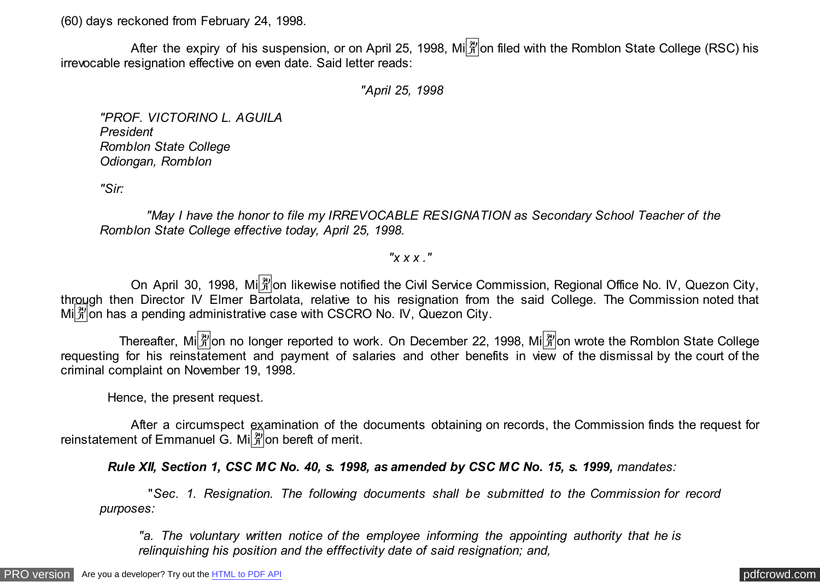(60) days reckoned from February 24, 1998.

After the expiry of his suspension, or on April 25, 1998, Mi $\frac{29}{10}$ on filed with the Romblon State College (RSC) his irrevocable resignation effective on even date. Said letter reads:

 *"April 25, 1998*

*"PROF. VICTORINO L. AGUILA President Romblon State College Odiongan, Romblon*

*"Sir:*

 *"May I have the honor to file my IRREVOCABLE RESIGNATION as Secondary School Teacher of the Romblon State College effective today, April 25, 1998.*

*"x x x ."*

On April 30, 1998, Mi $\frac{29}{3}$ on likewise notified the Civil Service Commission, Regional Office No. IV, Quezon City, through then Director IV Elmer Bartolata, relative to his resignation from the said College. The Commission noted that  $\text{Mil}^{\frac{20}{10}}$  on has a pending administrative case with CSCRO No. IV, Quezon City,

Thereafter, Mi $\frac{[3]}{3}$ on no longer reported to work. On December 22, 1998, Mi $\frac{[3]}{3}$ on wrote the Romblon State College requesting for his reinstatement and payment of salaries and other benefits in view of the dismissal by the court of the criminal complaint on November 19, 1998.

Hence, the present request.

 After a circumspect examination of the documents obtaining on records, the Commission finds the request for reinstatement of Emmanuel G. Mi $\frac{29}{10}$  bereft of merit.

 *Rule XII, Section 1, CSC MC No. 40, s. 1998, as amended by CSC MC No. 15, s. 1999, mandates:*

 "*Sec. 1. Resignation. The following documents shall be submitted to the Commission for record purposes:*

*"a. The voluntary written notice of the employee informing the appointing authority that he is relinquishing his position and the efffectivity date of said resignation; and,*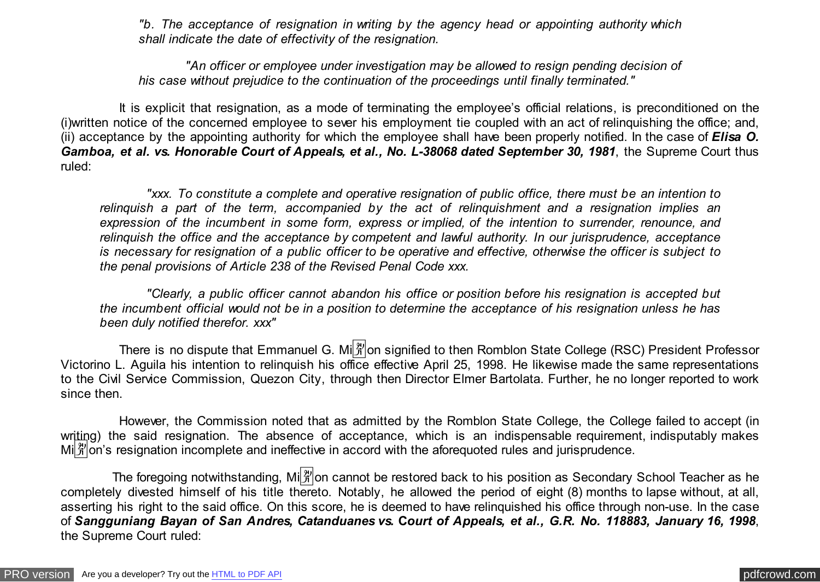*"b. The acceptance of resignation in writing by the agency head or appointing authority which shall indicate the date of effectivity of the resignation.*

 *"An officer or employee under investigation may be allowed to resign pending decision of his case without prejudice to the continuation of the proceedings until finally terminated."*

 It is explicit that resignation, as a mode of terminating the employee's official relations, is preconditioned on the (i)written notice of the concerned employee to sever his employment tie coupled with an act of relinquishing the office; and, (ii) acceptance by the appointing authority for which the employee shall have been properly notified. In the case of *Elisa O. Gamboa, et al. vs. Honorable Court of Appeals, et al., No. L-38068 dated September 30, 1981*, the Supreme Court thus ruled:

 *"xxx. To constitute a complete and operative resignation of public office, there must be an intention to relinquish a part of the term, accompanied by the act of relinquishment and a resignation implies an expression of the incumbent in some form, express or implied, of the intention to surrender, renounce, and relinquish the office and the acceptance by competent and lawful authority. In our jurisprudence, acceptance is necessary for resignation of a public officer to be operative and effective, otherwise the officer is subject to the penal provisions of Article 238 of the Revised Penal Code xxx.*

 *"Clearly, a public officer cannot abandon his office or position before his resignation is accepted but the incumbent official would not be in a position to determine the acceptance of his resignation unless he has been duly notified therefor. xxx"*

There is no dispute that Emmanuel G. Mi $\frac{[3]}{3!}$  on signified to then Romblon State College (RSC) President Professor Victorino L. Aguila his intention to relinquish his office effective April 25, 1998. He likewise made the same representations to the Civil Service Commission, Quezon City, through then Director Elmer Bartolata. Further, he no longer reported to work since then.

 However, the Commission noted that as admitted by the Romblon State College, the College failed to accept (in writing) the said resignation. The absence of acceptance, which is an indispensable requirement, indisputably makes Mi $\frac{20}{11}$  m/s resignation incomplete and ineffective in accord with the aforequoted rules and jurisprudence.

The foregoing notwithstanding,  $\text{Mi}[\frac{29}{3}]$ on cannot be restored back to his position as Secondary School Teacher as he completely divested himself of his title thereto. Notably, he allowed the period of eight (8) months to lapse without, at all, asserting his right to the said office. On this score, he is deemed to have relinquished his office through non-use. In the case of *Sangguniang Bayan of San Andres, Catanduanes vs.* **C***ourt of Appeals, et al., G.R. No. 118883, January 16, 1998*, the Supreme Court ruled: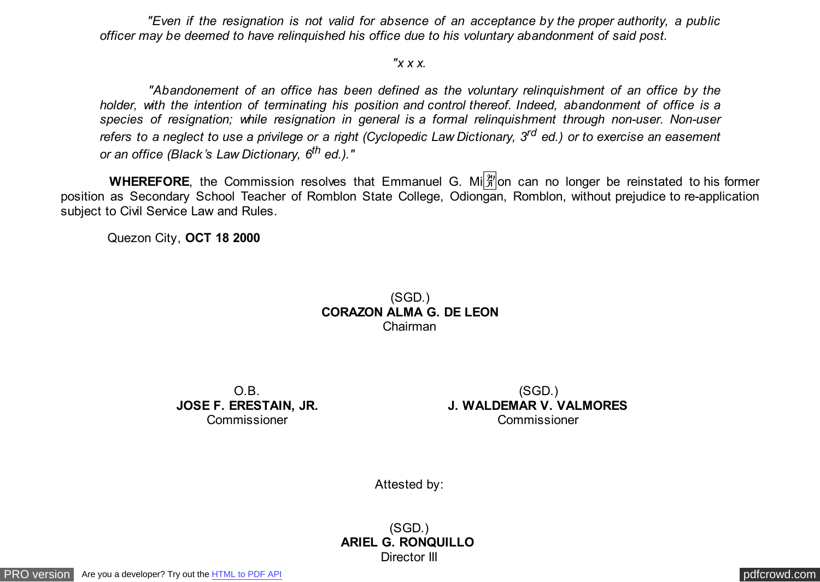*"Even if the resignation is not valid for absence of an acceptance by the proper authority, a public officer may be deemed to have relinquished his office due to his voluntary abandonment of said post.*

## *"x x x.*

 *"Abandonement of an office has been defined as the voluntary relinquishment of an office by the holder, with the intention of terminating his position and control thereof. Indeed, abandonment of office is a species of resignation; while resignation in general is a formal relinquishment through non-user. Non-user refers to a neglect to use a privilege or a right (Cyclopedic Law Dictionary, 3rd ed.) or to exercise an easement or an office (Black's Law Dictionary, 6th ed.)."*

WHEREFORE, the Commission resolves that Emmanuel G. Milet on can no longer be reinstated to his former position as Secondary School Teacher of Romblon State College, Odiongan, Romblon, without prejudice to re-application subject to Civil Service Law and Rules.

Quezon City, **OCT 18 2000**

## (SGD.) **CORAZON ALMA G. DE LEON** Chairman

O.B. **JOSE F. ERESTAIN, JR.** Commissioner

(SGD.) **J. WALDEMAR V. VALMORES** Commissioner

Attested by:

(SGD.) **ARIEL G. RONQUILLO**  Director III